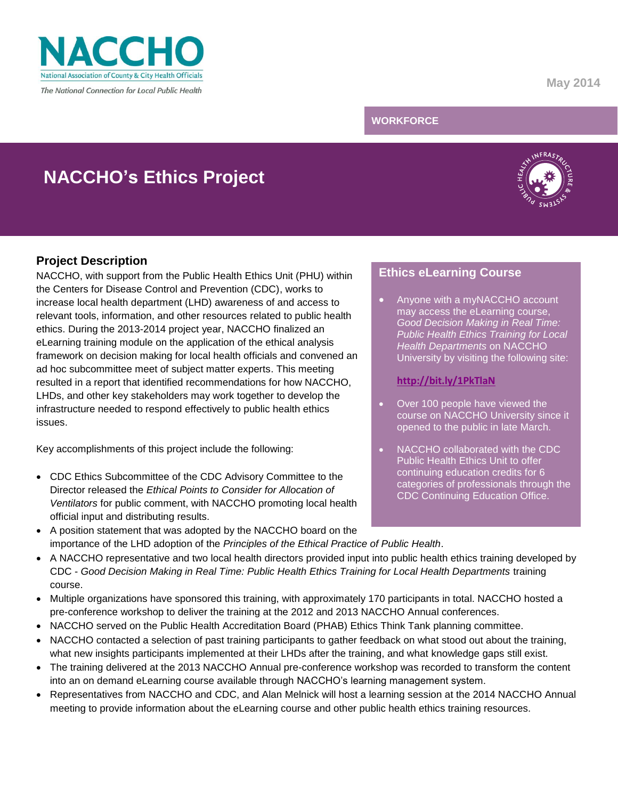

The National Connection for Local Public Health

## **WORKFORCE**

# **NACCHO's Ethics Project**



## **Project Description**

NACCHO, with support from the Public Health Ethics Unit (PHU) within the Centers for Disease Control and Prevention (CDC), works to increase local health department (LHD) awareness of and access to relevant tools, information, and other resources related to public health ethics. During the 2013-2014 project year, NACCHO finalized an eLearning training module on the application of the ethical analysis framework on decision making for local health officials and convened an ad hoc subcommittee meet of subject matter experts. This meeting resulted in a report that identified recommendations for how NACCHO, LHDs, and other key stakeholders may work together to develop the infrastructure needed to respond effectively to public health ethics issues.

Key accomplishments of this project include the following:

- CDC Ethics Subcommittee of the CDC Advisory Committee to the Director released the *Ethical Points to Consider for Allocation of Ventilators* for public comment, with NACCHO promoting local health official input and distributing results.
- A position statement that was adopted by the NACCHO board on the importance of the LHD adoption of the *Principles of the Ethical Practice of Public Health*.

## **Ethics eLearning Course**

 Anyone with a myNACCHO account may access the eLearning course, *Good Decision Making in Real Time: Public Health Ethics Training for Local Health Departments* on NACCHO University by visiting the following site:

#### **<http://bit.ly/1PkTlaN>**

- Over 100 people have viewed the course on NACCHO University since it opened to the public in late March.
- NACCHO collaborated with the CDC Public Health Ethics Unit to offer continuing education credits for 6 categories of professionals through the CDC Continuing Education Office.
- A NACCHO representative and two local health directors provided input into public health ethics training developed by CDC - *Good Decision Making in Real Time: Public Health Ethics Training for Local Health Departments* training course.
- Multiple organizations have sponsored this training, with approximately 170 participants in total. NACCHO hosted a pre-conference workshop to deliver the training at the 2012 and 2013 NACCHO Annual conferences.
- NACCHO served on the Public Health Accreditation Board (PHAB) Ethics Think Tank planning committee.
- NACCHO contacted a selection of past training participants to gather feedback on what stood out about the training, what new insights participants implemented at their LHDs after the training, and what knowledge gaps still exist.
- The training delivered at the 2013 NACCHO Annual pre-conference workshop was recorded to transform the content into an on demand eLearning course available through NACCHO's learning management system.
- Representatives from NACCHO and CDC, and Alan Melnick will host a learning session at the 2014 NACCHO Annual meeting to provide information about the eLearning course and other public health ethics training resources.